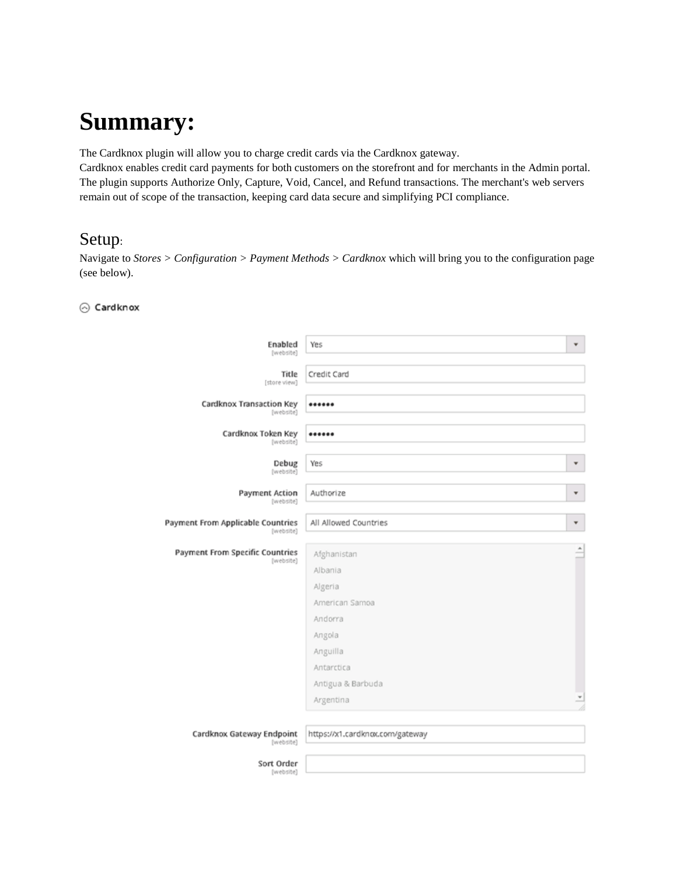# **Summary:**

The Cardknox plugin will allow you to charge credit cards via the Cardknox gateway.

Cardknox enables credit card payments for both customers on the storefront and for merchants in the Admin portal. The plugin supports Authorize Only, Capture, Void, Cancel, and Refund transactions. The merchant's web servers remain out of scope of the transaction, keeping card data secure and simplifying PCI compliance.

### Setup:

Navigate to *Stores > Configuration > Payment Methods > Cardknox* which will bring you to the configuration page (see below).

#### ⊙ Cardknox

| Enabled<br>[website]                           | Yes                                                                                                                                  | ٠                    |
|------------------------------------------------|--------------------------------------------------------------------------------------------------------------------------------------|----------------------|
| Title<br>[store view]                          | Credit Card                                                                                                                          |                      |
| Cardknox Transaction Key<br>[website]          |                                                                                                                                      |                      |
| Cardknox Token Key<br>[website]                |                                                                                                                                      |                      |
| Debug<br>(website)                             | Yes                                                                                                                                  | ¥                    |
| Payment Action<br>[website]                    | Authorize                                                                                                                            | ¥                    |
| Payment From Applicable Countries<br>[website] | All Allowed Countries                                                                                                                | ¥                    |
| Payment From Specific Countries<br>[website]   | Afghanistan<br>Albania<br>Algeria<br>American Samoa<br>Andorra<br>Angola<br>Anguilla<br>Antarctica<br>Antigua & Barbuda<br>Argentina | $\ddot{\phantom{1}}$ |
| Cardknox Gateway Endpoint<br>[website]         | https://x1.cardknox.com/gateway                                                                                                      |                      |
| Sort Order<br>[website]                        |                                                                                                                                      |                      |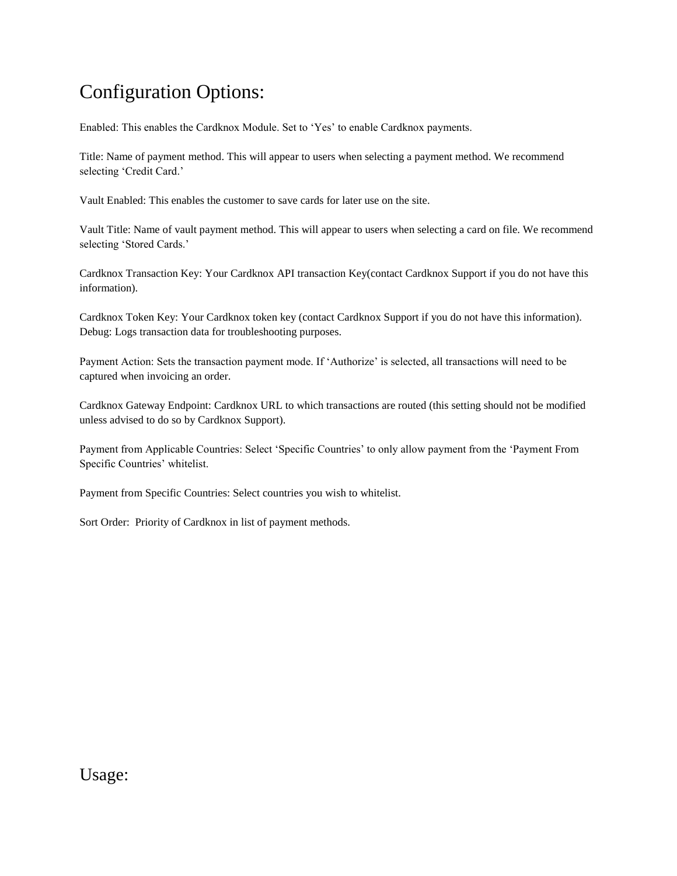## Configuration Options:

Enabled: This enables the Cardknox Module. Set to 'Yes' to enable Cardknox payments.

Title: Name of payment method. This will appear to users when selecting a payment method. We recommend selecting 'Credit Card.'

Vault Enabled: This enables the customer to save cards for later use on the site.

Vault Title: Name of vault payment method. This will appear to users when selecting a card on file. We recommend selecting 'Stored Cards.'

Cardknox Transaction Key: Your Cardknox API transaction Key(contact Cardknox Support if you do not have this information).

Cardknox Token Key: Your Cardknox token key (contact Cardknox Support if you do not have this information). Debug: Logs transaction data for troubleshooting purposes.

Payment Action: Sets the transaction payment mode. If 'Authorize' is selected, all transactions will need to be captured when invoicing an order.

Cardknox Gateway Endpoint: Cardknox URL to which transactions are routed (this setting should not be modified unless advised to do so by Cardknox Support).

Payment from Applicable Countries: Select 'Specific Countries' to only allow payment from the 'Payment From Specific Countries' whitelist.

Payment from Specific Countries: Select countries you wish to whitelist.

Sort Order: Priority of Cardknox in list of payment methods.

Usage: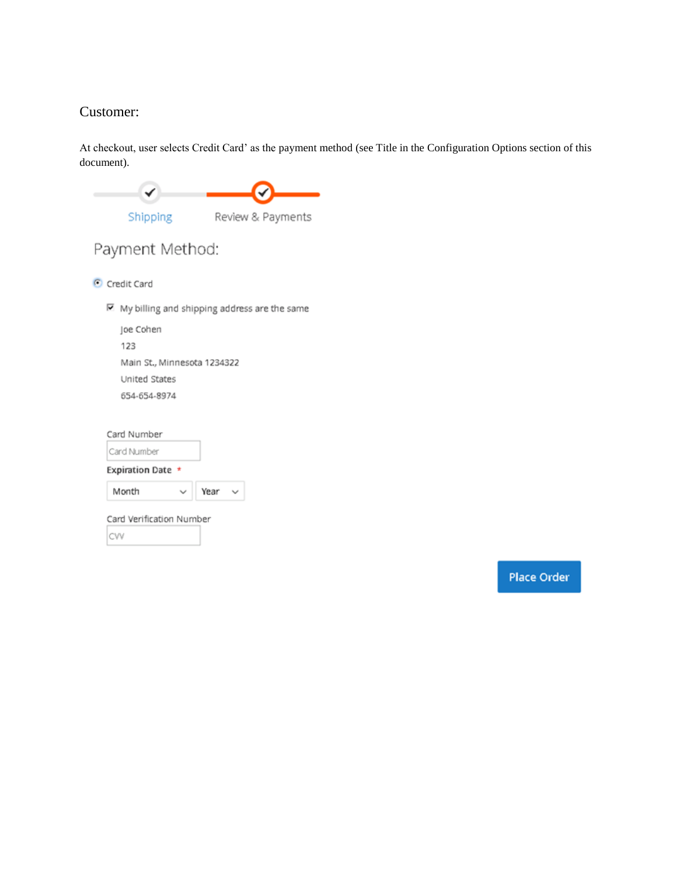### Customer:

At checkout, user selects Credit Card' as the payment method (see Title in the Configuration Options section of this document).

| Shipping                                       | Review & Payments |  |  |
|------------------------------------------------|-------------------|--|--|
| Payment Method:                                |                   |  |  |
| Credit Card                                    |                   |  |  |
| ⊠ My billing and shipping address are the same |                   |  |  |
| Joe Cohen<br>123                               |                   |  |  |
| Main St., Minnesota 1234322                    |                   |  |  |
| United States                                  |                   |  |  |
| 654-654-8974                                   |                   |  |  |
| Card Number                                    |                   |  |  |
| Card Number                                    |                   |  |  |
| Expiration Date *                              |                   |  |  |
| Month                                          | Year              |  |  |
| Card Verification Number                       |                   |  |  |
| CVV                                            |                   |  |  |

Place Order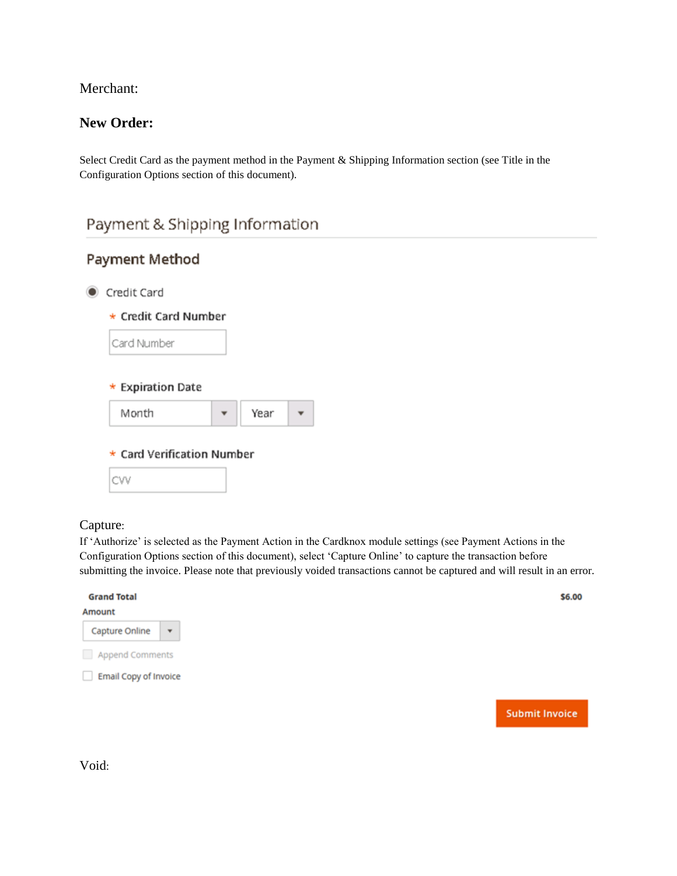Merchant:

### **New Order:**

Select Credit Card as the payment method in the Payment & Shipping Information section (see Title in the Configuration Options section of this document).

### Payment & Shipping Information

| Year |                            |
|------|----------------------------|
|      | * Card Verification Number |

### Capture:

If 'Authorize' is selected as the Payment Action in the Cardknox module settings (see Payment Actions in the Configuration Options section of this document), select 'Capture Online' to capture the transaction before submitting the invoice. Please note that previously voided transactions cannot be captured and will result in an error.

| <b>Grand Total</b>                        |
|-------------------------------------------|
| Amount                                    |
| Capture Online<br>$\overline{\mathbf{v}}$ |
| Append Comments                           |
| Email Copy of Invoice                     |
|                                           |
|                                           |

Void: